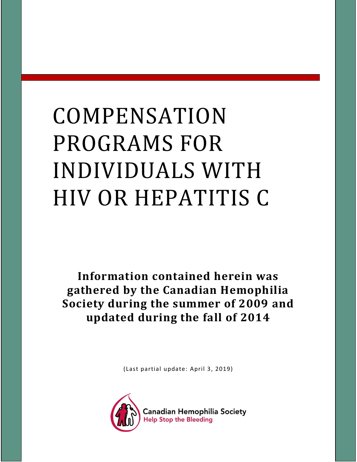# COMPENSATION PROGRAMS FOR INDIVIDUALS WITH HIV OR HEPATITIS C

**Information contained herein was gathered by the Canadian Hemophilia Society during the summer of 2009 and updated during the fall of 2014**

(Last partial update: April 3, 2019)

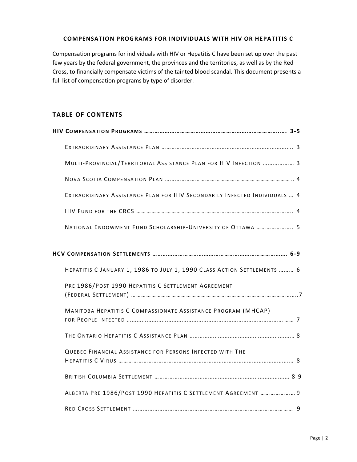### **COMPENSATION PROGRAMS FOR INDIVIDUALS WITH HIV OR HEPATITIS C**

Compensation programs for individuals with HIV or Hepatitis C have been set up over the past few years by the federal government, the provinces and the territories, as well as by the Red Cross, to financially compensate victims of the tainted blood scandal. This document presents a full list of compensation programs by type of disorder.

## **TABLE OF CONTENTS**

| MULTI-PROVINCIAL/TERRITORIAL ASSISTANCE PLAN FOR HIV INFECTION  3         |
|---------------------------------------------------------------------------|
|                                                                           |
| EXTRAORDINARY ASSISTANCE PLAN FOR HIV SECONDARILY INFECTED INDIVIDUALS  4 |
|                                                                           |
| NATIONAL ENDOWMENT FUND SCHOLARSHIP-UNIVERSITY OF OTTAWA  5               |
|                                                                           |
|                                                                           |
| HEPATITIS C JANUARY 1, 1986 TO JULY 1, 1990 CLASS ACTION SETTLEMENTS  6   |
| PRE 1986/POST 1990 HEPATITIS C SETTLEMENT AGREEMENT                       |
|                                                                           |
| MANITOBA HEPATITIS C COMPASSIONATE ASSISTANCE PROGRAM (MHCAP)             |
|                                                                           |
| QUEBEC FINANCIAL ASSISTANCE FOR PERSONS INFECTED WITH THE                 |
|                                                                           |
| ALBERTA PRE 1986/POST 1990 HEPATITIS C SETTLEMENT AGREEMENT  9            |
|                                                                           |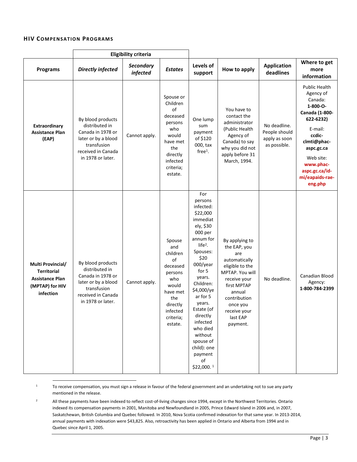#### **HIV COMPENSATION PROGRAMS**

 $\overline{\phantom{a}}$ 

|                                                                                                   | <b>Eligibility criteria</b>                                                                                                               |                              |                                                                                                                                           |                                                                                                                                                                                                                                                                                                                                   |                                                                                                                                                                                                           |                                                                |                                                                                                                                                                                                              |
|---------------------------------------------------------------------------------------------------|-------------------------------------------------------------------------------------------------------------------------------------------|------------------------------|-------------------------------------------------------------------------------------------------------------------------------------------|-----------------------------------------------------------------------------------------------------------------------------------------------------------------------------------------------------------------------------------------------------------------------------------------------------------------------------------|-----------------------------------------------------------------------------------------------------------------------------------------------------------------------------------------------------------|----------------------------------------------------------------|--------------------------------------------------------------------------------------------------------------------------------------------------------------------------------------------------------------|
| <b>Programs</b>                                                                                   | <b>Directly infected</b>                                                                                                                  | <b>Secondary</b><br>infected | <b>Estates</b>                                                                                                                            | Levels of<br>support                                                                                                                                                                                                                                                                                                              | How to apply                                                                                                                                                                                              | <b>Application</b><br>deadlines                                | Where to get<br>more<br>information                                                                                                                                                                          |
| <b>Extraordinary</b><br><b>Assistance Plan</b><br>(EAP)                                           | By blood products<br>distributed in<br>Canada in 1978 or<br>later or by a blood<br>transfusion<br>received in Canada<br>in 1978 or later. | Cannot apply.                | Spouse or<br>Children<br>of<br>deceased<br>persons<br>who<br>would<br>have met<br>the<br>directly<br>infected<br>criteria;<br>estate.     | One lump<br>sum<br>payment<br>of \$120<br>000, tax<br>$free1$ .                                                                                                                                                                                                                                                                   | You have to<br>contact the<br>administrator<br>(Public Health<br>Agency of<br>Canada) to say<br>why you did not<br>apply before 31<br>March, 1994.                                                        | No deadline.<br>People should<br>apply as soon<br>as possible. | Public Health<br>Agency of<br>Canada:<br>1-800-O-<br>Canada (1-800-<br>622-6232)<br>E-mail:<br>ccdic-<br>clmti@phac-<br>aspc.gc.ca<br>Web site:<br>www.phac-<br>aspc.gc.ca/id-<br>mi/eapaids-rae-<br>eng.php |
| Multi Provincial/<br><b>Territorial</b><br><b>Assistance Plan</b><br>(MPTAP) for HIV<br>infection | By blood products<br>distributed in<br>Canada in 1978 or<br>later or by a blood<br>transfusion<br>received in Canada<br>in 1978 or later. | Cannot apply.                | Spouse<br>and<br>children<br>οf<br>deceased<br>persons<br>who<br>would<br>have met<br>the<br>directly<br>infected<br>criteria;<br>estate. | For<br>persons<br>infected:<br>\$22,000<br>immediat<br>ely, \$30<br>000 per<br>annum for<br>$life2$ .<br>Spouses:<br>\$20<br>000/year<br>for 5<br>years.<br>Children:<br>\$4,000/ye<br>ar for 5<br>years.<br>Estate (of<br>directly<br>infected<br>who died<br>without<br>spouse of<br>child): one<br>payment<br>of<br>\$22,000.1 | By applying to<br>the EAP, you<br>are<br>automatically<br>eligible to the<br>MPTAP. You will<br>receive your<br>first MPTAP<br>annual<br>contribution<br>once you<br>receive your<br>last EAP<br>payment. | No deadline.                                                   | Canadian Blood<br>Agency:<br>1-800-784-2399                                                                                                                                                                  |

1 To receive compensation, you must sign a release in favour of the federal government and an undertaking not to sue any party mentioned in the release.

<sup>2</sup> All these payments have been indexed to reflect cost-of-living changes since 1994, except in the Northwest Territories. Ontario indexed its compensation payments in 2001, Manitoba and Newfoundland in 2005, Prince Edward Island in 2006 and, in 2007, Saskatchewan, British Columbia and Quebec followed. In 2010, Nova Scotia confirmed indexation for that same year. In 2013-2014, annual payments with indexation were \$43,825. Also, retroactivity has been applied in Ontario and Alberta from 1994 and in Quebec since April 1, 2005.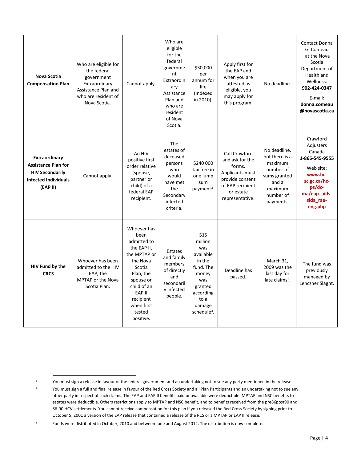| Nova Scotia<br><b>Compensation Plan</b>                                                                          | Who are eligible for<br>the federal<br>government<br>Extraordinary<br>Assistance Plan and<br>who are resident of<br>Nova Scotia. | Cannot apply.                                                                                                                                                                                | Who are<br>eligible<br>for the<br>federal<br>governme<br>nt<br>Extraordin<br>ary<br>Assistance<br>Plan and<br>who are<br>resident<br>of Nova<br>Scotia. | \$30,000<br>per<br>annum for<br>life<br>(Indexed<br>in 2010).                                                                                   | Apply first for<br>the EAP and<br>when you are<br>attested as<br>eligible, you<br>may apply for<br>this program.                     | No deadline.                                                                                                         | <b>Contact Donna</b><br>G. Comeau<br>at the Nova<br>Scotia<br>Department of<br>Health and<br>Wellness:<br>902-424-0347<br>E-mail:<br>donna.comeau<br>@novascotia.ca |
|------------------------------------------------------------------------------------------------------------------|----------------------------------------------------------------------------------------------------------------------------------|----------------------------------------------------------------------------------------------------------------------------------------------------------------------------------------------|---------------------------------------------------------------------------------------------------------------------------------------------------------|-------------------------------------------------------------------------------------------------------------------------------------------------|--------------------------------------------------------------------------------------------------------------------------------------|----------------------------------------------------------------------------------------------------------------------|---------------------------------------------------------------------------------------------------------------------------------------------------------------------|
| Extraordinary<br><b>Assistance Plan for</b><br><b>HIV Secondarily</b><br><b>Infected Individuals</b><br>(EAP II) | Cannot apply.                                                                                                                    | An HIV<br>positive first<br>order relative<br>(spouse,<br>partner or<br>child) of a<br>federal EAP<br>recipient.                                                                             | <b>The</b><br>estates of<br>deceased<br>persons<br>who<br>would<br>have met<br>the<br>Secondary<br>infected<br>criteria.                                | \$240 000<br>tax free in<br>one lump<br>sum<br>payment <sup>3</sup> .                                                                           | Call Crawford<br>and ask for the<br>forms.<br>Applicants must<br>provide consent<br>of EAP recipient<br>or estate<br>representative. | No deadline,<br>but there is a<br>maximum<br>number of<br>sums granted<br>and a<br>maximum<br>number of<br>payments. | Crawford<br>Adjusters<br>Canada<br>1-866-545-9555<br>Web site:<br>www.hc-<br>sc.gc.ca/hc-<br>ps/dc-<br>ma/eap_aids-<br>sida rae-<br>eng.php                         |
| HIV Fund by the<br><b>CRCS</b>                                                                                   | Whoever has been<br>admitted to the HIV<br>EAP, the<br>MPTAP or the Nova<br>Scotia Plan.                                         | Whoever has<br>been<br>admitted to<br>the EAP II,<br>the MPTAP or<br>the Nova<br>Scotia<br>Plan; the<br>spouse or<br>child of an<br>EAP II<br>recipient<br>when first<br>tested<br>positive. | Estates<br>and family<br>members<br>of directly<br>and<br>secondaril<br>y infected<br>people.                                                           | \$15<br>million<br>was<br>available<br>in the<br>fund. The<br>money<br>was<br>granted<br>according<br>to a<br>damage<br>schedule <sup>4</sup> . | Deadline has<br>passed.                                                                                                              | March 31,<br>2009 was the<br>last day for<br>late claims <sup>5</sup> .                                              | The fund was<br>previously<br>managed by<br>Lenczner Slaght.                                                                                                        |

 $\overline{\phantom{a}}$ <sup>3</sup> You must sign a release in favour of the federal government and an undertaking not to sue any party mentioned in the release.

<sup>&</sup>lt;sup>4</sup> You must sign a full and final release in favour of the Red Cross Society and all Plan Participants and an undertaking not to sue any other party in respect of such claims. The EAP and EAP II benefits paid or available were deductible. MPTAP and NSC benefits to estates were deductible. Others restrictions apply to MPTAP and NSC benefit, and to benefits received from the pre86post90 and 86-90 HCV settlements. You cannot receive compensation for this plan if you released the Red Cross Society by signing prior to October 5, 2001 a version of the EAP release that contained a release of the RCS or a MPTAP or EAP II release.

<sup>5</sup> Funds were distributed in October, 2010 and between June and August 2012. The distribution is now complete.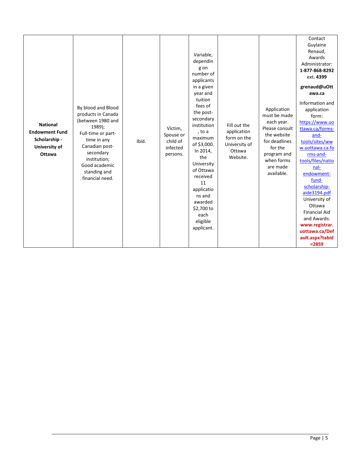| <b>National</b><br><b>Endowment Fund</b><br>Scholarship -<br><b>University of</b><br>Ottawa | By blood and Blood<br>products in Canada<br>(between 1980 and<br>1989);<br>Full-time or part-<br>time in any<br>Canadian post-<br>secondary<br>institution;<br>Good academic<br>standing and<br>financial need. | Ibid. | Victim,<br>Spouse or<br>child of<br>infected<br>persons. | Variable,<br>dependin<br>g on<br>number of<br>applicants<br>in a given<br>year and<br>tuition<br>fees of<br>the post-<br>secondary<br>institution<br>, to a<br>maximum<br>of \$3,000.<br>In 2014,<br>the<br>University<br>of Ottawa<br>received<br>11<br>applicatio<br>ns and<br>awarded<br>\$2,700 to<br>each<br>eligible<br>applicant. | Fill out the<br>application<br>form on the<br>University of<br>Ottawa<br>Website. | Application<br>must be made<br>each year.<br>Please consult<br>the website<br>for deadlines<br>for the<br>program and<br>when forms<br>are made<br>available. | Contact<br>Guylaine<br>Renaud,<br>Awards<br>Administrator:<br>1-877-868-8292<br>ext. 4399<br>grenaud@uOtt<br>awa.ca<br>Information and<br>application<br>form:<br>https://www.uo<br>ttawa.ca/forms-<br>and-<br>tools/sites/ww<br>w.uottawa.ca.fo<br>rms-and-<br>tools/files/natio<br>nal-<br>endowment-<br>fund-<br>scholarship-<br>aide3194.pdf<br>University of<br>Ottawa<br><b>Financial Aid</b><br>and Awards:<br>www.registrar.<br>uottawa.ca/Def<br>ault.aspx?tabid<br>$= 2859$ |
|---------------------------------------------------------------------------------------------|-----------------------------------------------------------------------------------------------------------------------------------------------------------------------------------------------------------------|-------|----------------------------------------------------------|------------------------------------------------------------------------------------------------------------------------------------------------------------------------------------------------------------------------------------------------------------------------------------------------------------------------------------------|-----------------------------------------------------------------------------------|---------------------------------------------------------------------------------------------------------------------------------------------------------------|---------------------------------------------------------------------------------------------------------------------------------------------------------------------------------------------------------------------------------------------------------------------------------------------------------------------------------------------------------------------------------------------------------------------------------------------------------------------------------------|
|---------------------------------------------------------------------------------------------|-----------------------------------------------------------------------------------------------------------------------------------------------------------------------------------------------------------------|-------|----------------------------------------------------------|------------------------------------------------------------------------------------------------------------------------------------------------------------------------------------------------------------------------------------------------------------------------------------------------------------------------------------------|-----------------------------------------------------------------------------------|---------------------------------------------------------------------------------------------------------------------------------------------------------------|---------------------------------------------------------------------------------------------------------------------------------------------------------------------------------------------------------------------------------------------------------------------------------------------------------------------------------------------------------------------------------------------------------------------------------------------------------------------------------------|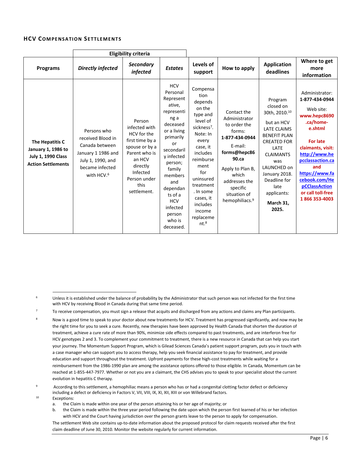#### **HCV COMPENSATION SETTLEMENTS**

|                                                                                                 | <b>Eligibility criteria</b>                                                                                                                |                                                                                                                                                                       |                                                                                                                                                                                                                                                                        |                                                                                                                                                                                                                                                                              |                                                                                                                                                                                                                         |                                                                                                                                                                                                                                                        |                                                                                                                                                                                                                                                                    |
|-------------------------------------------------------------------------------------------------|--------------------------------------------------------------------------------------------------------------------------------------------|-----------------------------------------------------------------------------------------------------------------------------------------------------------------------|------------------------------------------------------------------------------------------------------------------------------------------------------------------------------------------------------------------------------------------------------------------------|------------------------------------------------------------------------------------------------------------------------------------------------------------------------------------------------------------------------------------------------------------------------------|-------------------------------------------------------------------------------------------------------------------------------------------------------------------------------------------------------------------------|--------------------------------------------------------------------------------------------------------------------------------------------------------------------------------------------------------------------------------------------------------|--------------------------------------------------------------------------------------------------------------------------------------------------------------------------------------------------------------------------------------------------------------------|
| Programs                                                                                        | <b>Directly infected</b>                                                                                                                   | <b>Secondary</b><br>infected                                                                                                                                          | <b>Estates</b>                                                                                                                                                                                                                                                         | Levels of<br>support                                                                                                                                                                                                                                                         | How to apply                                                                                                                                                                                                            | <b>Application</b><br>deadlines                                                                                                                                                                                                                        | Where to get<br>more<br>information                                                                                                                                                                                                                                |
| The Hepatitis C<br>January 1, 1986 to<br><b>July 1, 1990 Class</b><br><b>Action Settlements</b> | Persons who<br>received Blood in<br>Canada between<br>January 1 1986 and<br>July 1, 1990, and<br>became infected<br>with HCV. <sup>6</sup> | Person<br>infected with<br>HCV for the<br>first time by a<br>spouse or by a<br>Parent who is<br>an HCV<br>directly<br>Infected<br>Person under<br>this<br>settlement. | <b>HCV</b><br>Personal<br>Represent<br>ative.<br>representi<br>ng a<br>deceased<br>or a living<br>primarily<br>or<br>secondaril<br>y infected<br>person;<br>family<br>members<br>and<br>dependan<br>ts of a<br><b>HCV</b><br>infected<br>person<br>who is<br>deceased. | Compensa<br>tion<br>depends<br>on the<br>type and<br>level of<br>sickness <sup>7</sup> .<br>Note: In<br>every<br>case, it<br>includes<br>reimburse<br>ment<br>for<br>uninsured<br>treatment<br>. In some<br>cases, it<br>includes<br>income<br>replaceme<br>nt. <sup>8</sup> | Contact the<br>Administrator<br>to order the<br>forms:<br>1-877-434-0944<br>E-mail:<br>forms@hepc86<br>$90$ .ca<br>Apply to Plan B,<br>which<br>addresses the<br>specific<br>situation of<br>hemophiliacs. <sup>9</sup> | Program<br>closed on<br>30th, 2010.10<br>but an HCV<br><b>LATE CLAIMS</b><br><b>BENEFIT PLAN</b><br><b>CREATED FOR</b><br>LATE<br><b>CLAIMANTS</b><br>was<br>LAUNCHED on<br>January 2018.<br>Deadline for<br>late<br>applicants:<br>March 31,<br>2025. | Administrator:<br>1-877-434-0944<br>Web site:<br>www.hepc8690<br>.ca/home-<br>e.shtml<br><b>For late</b><br>claimants, visit:<br>http://www.he<br>pcclassaction.ca<br>and<br>https://www.fa<br>cebook.com/He<br>pCClassAction<br>or call toll-free<br>1866353-4003 |

Exceptions:

- a. the Claim is made within one year of the person attaining his or her age of majority; or
- b. the Claim is made within the three year period following the date upon which the person first learned of his or her infection with HCV and the Court having jurisdiction over the person grants leave to the person to apply for compensation.

The settlement Web site contains up-to-date information about the proposed protocol for claim requests received after the first claim deadline of June 30, 2010. Monitor the website regularly for current information.

 $\overline{\phantom{a}}$ <sup>6</sup> Unless it is established under the balance of probability by the Administrator that such person was not infected for the first time with HCV by receiving Blood in Canada during that same time period.

<sup>7</sup> To receive compensation, you must sign a release that acquits and discharged from any actions and claims any Plan participants.

Now is a good time to speak to your doctor about new treatments for HCV. Treatment has progressed significantly, and now may be the right time for you to seek a cure. Recently, new therapies have been approved by Health Canada that shorten the duration of treatment, achieve a cure rate of more than 90%, minimize side effects compared to past treatments, and are interferon free for HCV genotypes 2 and 3. To complement your commitment to treatment, there is a new resource in Canada that can help you start your journey. The Momentum Support Program, which is Gilead Sciences Canada's patient support program, puts you in touch with a case manager who can support you to access therapy, help you seek financial assistance to pay for treatment, and provide education and support throughout the treatment. Upfront payments for these high-cost treatments while waiting for a reimbursement from the 1986-1990 plan are among the assistance options offered to those eligible. In Canada, Momentum can be reached at 1-855-447-7977. Whether or not you are a claimant, the CHS advises you to speak to your specialist about the current evolution in hepatitis C therapy.

<sup>9</sup> According to this settlement, a hemophiliac means a person who has or had a congenital clotting factor defect or deficiency including a defect or deficiency in Factors V, VII, VIII, IX, XI, XII, XIII or von Willebrand factors.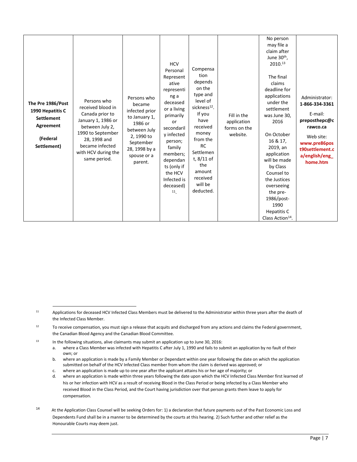| The Pre 1986/Post<br>1990 Hepatitis C<br><b>Settlement</b><br>Agreement<br>(Federal<br>Settlement) | Persons who<br>received blood in<br>Canada prior to<br>January 1, 1986 or<br>between July 2,<br>1990 to September<br>28, 1998 and<br>became infected<br>with HCV during the<br>same period. | Persons who<br>became<br>infected prior<br>to January 1,<br>1986 or<br>between July<br>2, 1990 to<br>September<br>28, 1998 by a<br>spouse or a<br>parent. | <b>HCV</b><br>Personal<br>Represent<br>ative<br>representi<br>ng a<br>deceased<br>or a living<br>primarily<br>or<br>secondaril<br>y infected<br>person;<br>family<br>members;<br>dependan<br>ts (only if<br>the HCV<br>Infected is<br>deceased)<br>11 | Compensa<br>tion<br>depends<br>on the<br>type and<br>level of<br>sickness <sup>12</sup> .<br>If you<br>have<br>received<br>money<br>from the<br><b>RC</b><br>Settlemen<br>t, 8/11 of<br>the<br>amount<br>received<br>will be<br>deducted. | Fill in the<br>application<br>forms on the<br>website. | No person<br>may file a<br>claim after<br>June 30th,<br>2010.13<br>The final<br>claims<br>deadline for<br>applications<br>under the<br>settlement<br>was June 30,<br>2016<br>On October<br>16 & 17,<br>2019, an<br>application<br>will be made<br>by Class<br>Counsel to<br>the Justices<br>overseeing<br>the pre-<br>1986/post-<br>1990<br>Hepatitis C<br>Class Action <sup>14</sup> . | Administrator:<br>1-866-334-3361<br>E-mail:<br>preposthepc@c<br>rawco.ca<br>Web site:<br>www.pre86pos<br>t90settlement.c<br>a/english/eng_<br>home.htm |
|----------------------------------------------------------------------------------------------------|---------------------------------------------------------------------------------------------------------------------------------------------------------------------------------------------|-----------------------------------------------------------------------------------------------------------------------------------------------------------|-------------------------------------------------------------------------------------------------------------------------------------------------------------------------------------------------------------------------------------------------------|-------------------------------------------------------------------------------------------------------------------------------------------------------------------------------------------------------------------------------------------|--------------------------------------------------------|-----------------------------------------------------------------------------------------------------------------------------------------------------------------------------------------------------------------------------------------------------------------------------------------------------------------------------------------------------------------------------------------|--------------------------------------------------------------------------------------------------------------------------------------------------------|
|----------------------------------------------------------------------------------------------------|---------------------------------------------------------------------------------------------------------------------------------------------------------------------------------------------|-----------------------------------------------------------------------------------------------------------------------------------------------------------|-------------------------------------------------------------------------------------------------------------------------------------------------------------------------------------------------------------------------------------------------------|-------------------------------------------------------------------------------------------------------------------------------------------------------------------------------------------------------------------------------------------|--------------------------------------------------------|-----------------------------------------------------------------------------------------------------------------------------------------------------------------------------------------------------------------------------------------------------------------------------------------------------------------------------------------------------------------------------------------|--------------------------------------------------------------------------------------------------------------------------------------------------------|

l

- b. where an application is made by a Family Member or Dependant within one year following the date on which the application submitted on behalf of the HCV Infected Class member from whom the claim is derived was approved; or
- c. where an application is made up to one year after the applicant attains his or her age of majority; or

d. where an application is made within three years following the date upon which the HCV Infected Class Member first learned of his or her infection with HCV as a result of receiving Blood in the Class Period or being infected by a Class Member who received Blood in the Class Period, and the Court having jurisdiction over that person grants them leave to apply for compensation.

14 At the Application Class Counsel will be seeking Orders for: 1) a declaration that future payments out of the Past Economic Loss and Dependents Fund shall be in a manner to be determined by the courts at this hearing. 2) Such further and other relief as the Honourable Courts may deem just.

<sup>11</sup> Applications for deceased HCV Infected Class Members must be delivered to the Administrator within three years after the death of the Infected Class Member.

<sup>12</sup> To receive compensation, you must sign a release that acquits and discharged from any actions and claims the Federal government, the Canadian Blood Agency and the Canadian Blood Committee.

<sup>&</sup>lt;sup>13</sup> In the following situations, alive claimants may submit an application up to June 30, 2016:

a. where a Class Member was infected with Hepatitis C after July 1, 1990 and fails to submit an application by no fault of their own; or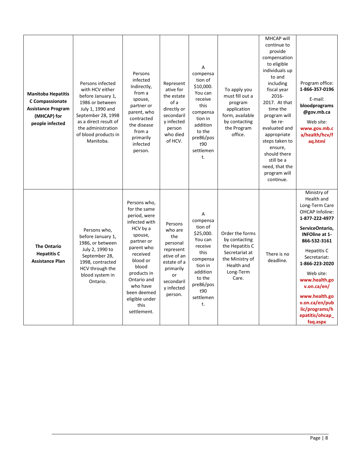| <b>Manitoba Hepatitis</b><br>C Compassionate<br><b>Assistance Program</b><br>(MHCAP) for<br>people infected | Persons infected<br>with HCV either<br>before January 1,<br>1986 or between<br>July 1, 1990 and<br>September 28, 1998<br>as a direct result of<br>the administration<br>of blood products in<br>Manitoba. | Persons<br>infected<br>Indirectly,<br>from a<br>spouse,<br>partner or<br>parent, who<br>contracted<br>the disease<br>from a<br>primarily<br>infected<br>person.                                                                                     | Represent<br>ative for<br>the estate<br>of a<br>directly or<br>secondaril<br>y infected<br>person<br>who died<br>of HCV.                   | A<br>compensa<br>tion of<br>\$10,000.<br>You can<br>receive<br>this<br>compensa<br>tion in<br>addition<br>to the<br>pre86/pos<br>t90<br>settlemen<br>t. | To apply you<br>must fill out a<br>program<br>application<br>form, available<br>by contacting<br>the Program<br>office.      | <b>MHCAP</b> will<br>continue to<br>provide<br>compensation<br>to eligible<br>individuals up<br>to and<br>including<br>fiscal year<br>2016-<br>2017. At that<br>time the<br>program will<br>be re-<br>evaluated and<br>appropriate<br>steps taken to<br>ensure,<br>should there<br>still be a<br>need, that the<br>program will<br>continue. | Program office:<br>1-866-357-0196<br>E-mail:<br>bloodprograms<br>@gov.mb.ca<br>Web site:<br>www.gov.mb.c<br>a/health/hcv/f<br>aq.html                                                                                                                                                                                          |
|-------------------------------------------------------------------------------------------------------------|-----------------------------------------------------------------------------------------------------------------------------------------------------------------------------------------------------------|-----------------------------------------------------------------------------------------------------------------------------------------------------------------------------------------------------------------------------------------------------|--------------------------------------------------------------------------------------------------------------------------------------------|---------------------------------------------------------------------------------------------------------------------------------------------------------|------------------------------------------------------------------------------------------------------------------------------|----------------------------------------------------------------------------------------------------------------------------------------------------------------------------------------------------------------------------------------------------------------------------------------------------------------------------------------------|--------------------------------------------------------------------------------------------------------------------------------------------------------------------------------------------------------------------------------------------------------------------------------------------------------------------------------|
| <b>The Ontario</b><br><b>Hepatitis C</b><br><b>Assistance Plan</b>                                          | Persons who,<br>before January 1,<br>1986, or between<br>July 2, 1990 to<br>September 28,<br>1998, contracted<br>HCV through the<br>blood system in<br>Ontario.                                           | Persons who,<br>for the same<br>period, were<br>infected with<br>HCV by a<br>spouse,<br>partner or<br>parent who<br>received<br>blood or<br>blood<br>products in<br>Ontario and<br>who have<br>been deemed<br>eligible under<br>this<br>settlement. | Persons<br>who are<br>the<br>personal<br>represent<br>ative of an<br>estate of a<br>primarily<br>or<br>secondaril<br>y infected<br>person. | A<br>compensa<br>tion of<br>\$25,000.<br>You can<br>receive<br>this<br>compensa<br>tion in<br>addition<br>to the<br>pre86/pos<br>t90<br>settlemen<br>t. | Order the forms<br>by contacting<br>the Hepatitis C<br>Secretariat at<br>the Ministry of<br>Health and<br>Long-Term<br>Care. | There is no<br>deadline.                                                                                                                                                                                                                                                                                                                     | Ministry of<br>Health and<br>Long-Term Care<br>OHCAP Infoline:<br>1-877-222-4977<br>ServiceOntario,<br><b>INFOline at 1-</b><br>866-532-3161<br>Hepatitis C<br>Secretariat:<br>1-866-223-2020<br>Web site:<br>www.health.go<br>v.on.ca/en/<br>www.health.go<br>v.on.ca/en/pub<br>lic/programs/h<br>epatitis/ohcap_<br>faq.aspx |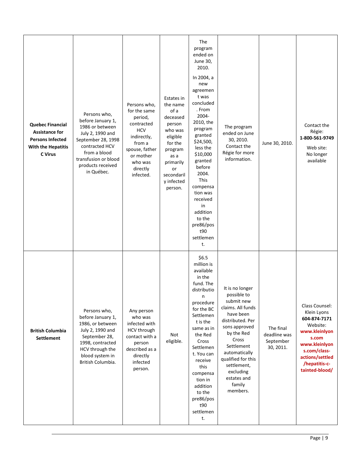| <b>Quebec Financial</b><br><b>Assistance for</b><br><b>Persons Infected</b><br>With the Hepatitis<br>C Virus | Persons who,<br>before January 1,<br>1986 or between<br>July 2, 1990 and<br>September 28, 1998<br>contracted HCV<br>from a blood<br>transfusion or blood<br>products received<br>in Québec. | Persons who,<br>for the same<br>period,<br>contracted<br><b>HCV</b><br>indirectly,<br>from a<br>spouse, father<br>or mother<br>who was<br>directly<br>infected. | Estates in<br>the name<br>of a<br>deceased<br>person<br>who was<br>eligible<br>for the<br>program<br>as a<br>primarily<br>or<br>secondaril<br>y infected<br>person. | The<br>program<br>ended on<br>June 30,<br>2010.<br>In 2004, a<br>new<br>agreemen<br>t was<br>concluded<br>. From<br>2004-<br>2010, the<br>program<br>granted<br>\$24,500,<br>less the<br>\$10,000<br>granted<br>before<br>2004.<br><b>This</b><br>compensa<br>tion was<br>received<br>in<br>addition<br>to the<br>pre86/pos<br>t90<br>settlemen<br>t. | The program<br>ended on June<br>30, 2010.<br>Contact the<br>Régie for more<br>information.                                                                                                                                                                       | June 30, 2010.                                      | Contact the<br>Régie:<br>1-800-561-9749<br>Web site:<br>No longer<br>available                                                                                             |
|--------------------------------------------------------------------------------------------------------------|---------------------------------------------------------------------------------------------------------------------------------------------------------------------------------------------|-----------------------------------------------------------------------------------------------------------------------------------------------------------------|---------------------------------------------------------------------------------------------------------------------------------------------------------------------|-------------------------------------------------------------------------------------------------------------------------------------------------------------------------------------------------------------------------------------------------------------------------------------------------------------------------------------------------------|------------------------------------------------------------------------------------------------------------------------------------------------------------------------------------------------------------------------------------------------------------------|-----------------------------------------------------|----------------------------------------------------------------------------------------------------------------------------------------------------------------------------|
| <b>British Columbia</b><br><b>Settlement</b>                                                                 | Persons who,<br>before January 1,<br>1986, or between<br>July 2, 1990 and<br>September 28,<br>1998, contracted<br>HCV through the<br>blood system in<br>British Columbia.                   | Any person<br>who was<br>infected with<br>HCV through<br>contact with a<br>person<br>described as a<br>directly<br>infected<br>person.                          | Not<br>eligible.                                                                                                                                                    | \$6.5<br>million is<br>available<br>in the<br>fund. The<br>distributio<br>n<br>procedure<br>for the BC<br>Settlemen<br>t is the<br>same as in<br>the Red<br>Cross<br>Settlemen<br>t. You can<br>receive<br>this<br>compensa<br>tion in<br>addition<br>to the<br>pre86/pos<br>t90<br>settlemen<br>t.                                                   | It is no longer<br>possible to<br>submit new<br>claims. All funds<br>have been<br>distributed. Per<br>sons approved<br>by the Red<br>Cross<br>Settlement<br>automatically<br>qualified for this<br>settlement,<br>excluding<br>estates and<br>family<br>members. | The final<br>deadline was<br>September<br>30, 2011. | Class Counsel:<br>Klein Lyons<br>604-874-7171<br>Website:<br>www.kleinlyon<br>s.com<br>www.kleinlyon<br>s.com/class-<br>actions/settled<br>/hepatitis-c-<br>tainted-blood/ |